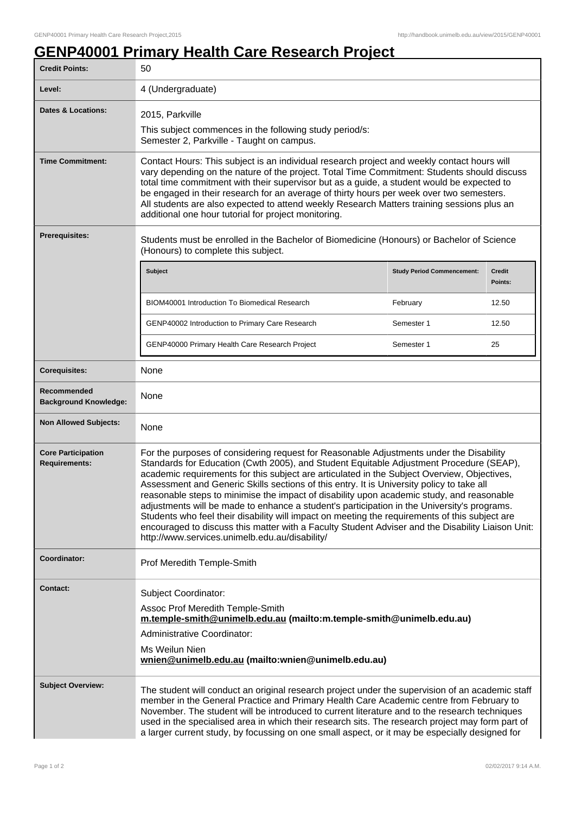## **GENP40001 Primary Health Care Research Project**

| <b>Credit Points:</b>                                                                                                                                     | 50                                                                                                                                                                                                                                                                                                                                                                                                                                                                                                                                                                                                                                                                                                                                                                                                                                  |                                   |                   |
|-----------------------------------------------------------------------------------------------------------------------------------------------------------|-------------------------------------------------------------------------------------------------------------------------------------------------------------------------------------------------------------------------------------------------------------------------------------------------------------------------------------------------------------------------------------------------------------------------------------------------------------------------------------------------------------------------------------------------------------------------------------------------------------------------------------------------------------------------------------------------------------------------------------------------------------------------------------------------------------------------------------|-----------------------------------|-------------------|
| Level:                                                                                                                                                    | 4 (Undergraduate)                                                                                                                                                                                                                                                                                                                                                                                                                                                                                                                                                                                                                                                                                                                                                                                                                   |                                   |                   |
| <b>Dates &amp; Locations:</b>                                                                                                                             | 2015, Parkville<br>This subject commences in the following study period/s:<br>Semester 2, Parkville - Taught on campus.                                                                                                                                                                                                                                                                                                                                                                                                                                                                                                                                                                                                                                                                                                             |                                   |                   |
| <b>Time Commitment:</b>                                                                                                                                   | Contact Hours: This subject is an individual research project and weekly contact hours will<br>vary depending on the nature of the project. Total Time Commitment: Students should discuss<br>total time commitment with their supervisor but as a guide, a student would be expected to<br>be engaged in their research for an average of thirty hours per week over two semesters.<br>All students are also expected to attend weekly Research Matters training sessions plus an<br>additional one hour tutorial for project monitoring.                                                                                                                                                                                                                                                                                          |                                   |                   |
| <b>Prerequisites:</b><br>Students must be enrolled in the Bachelor of Biomedicine (Honours) or Bachelor of Science<br>(Honours) to complete this subject. |                                                                                                                                                                                                                                                                                                                                                                                                                                                                                                                                                                                                                                                                                                                                                                                                                                     |                                   |                   |
|                                                                                                                                                           | <b>Subject</b>                                                                                                                                                                                                                                                                                                                                                                                                                                                                                                                                                                                                                                                                                                                                                                                                                      | <b>Study Period Commencement:</b> | Credit<br>Points: |
|                                                                                                                                                           | BIOM40001 Introduction To Biomedical Research                                                                                                                                                                                                                                                                                                                                                                                                                                                                                                                                                                                                                                                                                                                                                                                       | February                          | 12.50             |
|                                                                                                                                                           | GENP40002 Introduction to Primary Care Research                                                                                                                                                                                                                                                                                                                                                                                                                                                                                                                                                                                                                                                                                                                                                                                     | Semester 1                        | 12.50             |
|                                                                                                                                                           | GENP40000 Primary Health Care Research Project                                                                                                                                                                                                                                                                                                                                                                                                                                                                                                                                                                                                                                                                                                                                                                                      | Semester 1                        | 25                |
| <b>Corequisites:</b>                                                                                                                                      | None                                                                                                                                                                                                                                                                                                                                                                                                                                                                                                                                                                                                                                                                                                                                                                                                                                |                                   |                   |
| Recommended<br><b>Background Knowledge:</b>                                                                                                               | None                                                                                                                                                                                                                                                                                                                                                                                                                                                                                                                                                                                                                                                                                                                                                                                                                                |                                   |                   |
| <b>Non Allowed Subjects:</b>                                                                                                                              | None                                                                                                                                                                                                                                                                                                                                                                                                                                                                                                                                                                                                                                                                                                                                                                                                                                |                                   |                   |
| <b>Core Participation</b><br><b>Requirements:</b>                                                                                                         | For the purposes of considering request for Reasonable Adjustments under the Disability<br>Standards for Education (Cwth 2005), and Student Equitable Adjustment Procedure (SEAP),<br>academic requirements for this subject are articulated in the Subject Overview, Objectives,<br>Assessment and Generic Skills sections of this entry. It is University policy to take all<br>reasonable steps to minimise the impact of disability upon academic study, and reasonable<br>adjustments will be made to enhance a student's participation in the University's programs.<br>Students who feel their disability will impact on meeting the requirements of this subject are<br>encouraged to discuss this matter with a Faculty Student Adviser and the Disability Liaison Unit:<br>http://www.services.unimelb.edu.au/disability/ |                                   |                   |
| Coordinator:                                                                                                                                              | Prof Meredith Temple-Smith                                                                                                                                                                                                                                                                                                                                                                                                                                                                                                                                                                                                                                                                                                                                                                                                          |                                   |                   |
| <b>Contact:</b>                                                                                                                                           | <b>Subject Coordinator:</b><br>Assoc Prof Meredith Temple-Smith<br>m.temple-smith@unimelb.edu.au (mailto:m.temple-smith@unimelb.edu.au)<br>Administrative Coordinator:<br>Ms Weilun Nien<br>wnien@unimelb.edu.au (mailto:wnien@unimelb.edu.au)                                                                                                                                                                                                                                                                                                                                                                                                                                                                                                                                                                                      |                                   |                   |
| <b>Subject Overview:</b>                                                                                                                                  | The student will conduct an original research project under the supervision of an academic staff<br>member in the General Practice and Primary Health Care Academic centre from February to<br>November. The student will be introduced to current literature and to the research techniques<br>used in the specialised area in which their research sits. The research project may form part of<br>a larger current study, by focussing on one small aspect, or it may be especially designed for                                                                                                                                                                                                                                                                                                                                  |                                   |                   |